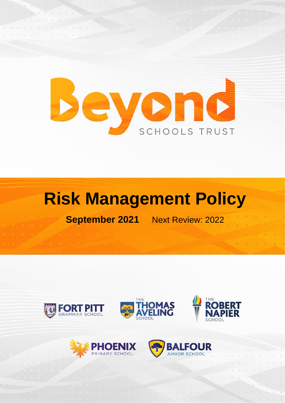

## **Risk Management Policy**

**September 2021** Next Review: 2022